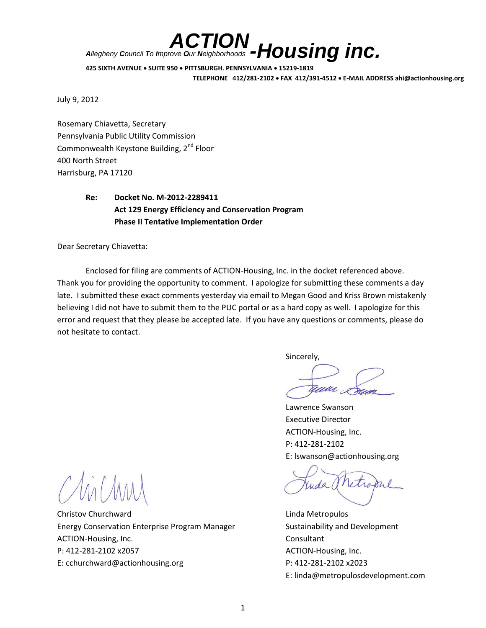*-Housing inc. ACTION Allegheny Council To Improve Our Neighborhoods*

**425 SIXTH AVENUE SUITE 950 PITTSBURGH, PENNSYLVANIA 15219-1819 TELEPHONE 412/281-2102 FAX 412/391-4512 E-MAIL ADDRESS ahi@actionhousing.org**

July 9, 2012

Rosemary Chiavetta, Secretary Pennsylvania Public Utility Commission Commonwealth Keystone Building, 2<sup>nd</sup> Floor 400 North Street Harrisburg, PA 17120

# **Re: Docket No. M-2012-2289411 Act 129 Energy Efficiency and Conservation Program Phase II Tentative Implementation Order**

Dear Secretary Chiavetta:

Enclosed for filing are comments of ACTION-Housing, Inc. in the docket referenced above. Thank you for providing the opportunity to comment. I apologize for submitting these comments a day late. I submitted these exact comments yesterday via email to Megan Good and Kriss Brown mistakenly believing I did not have to submit them to the PUC portal or as a hard copy as well. I apologize for this error and request that they please be accepted late. If you have any questions or comments, please do not hesitate to contact.

Sincerely,

amar

Lawrence Swanson Executive Director ACTION-Housing, Inc. P: 412-281-2102 E: lswanson@actionhousing.org

etro

E: linda@metropulosdevelopment.com

Christov Churchward **Linda Metropulos** Energy Conservation Enterprise Program Manager Sustainability and Development ACTION-Housing, Inc. **Consultant** P: 412-281-2102 x2057 ACTION-Housing, Inc. E: cchurchward@actionhousing.org P: 412-281-2102 x2023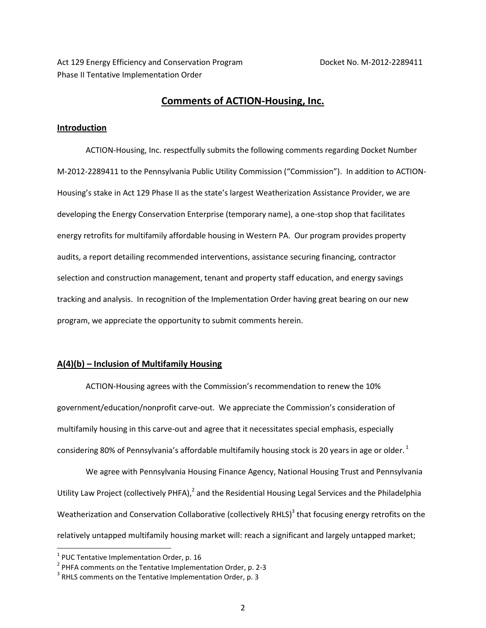Act 129 Energy Efficiency and Conservation Program Docket No. M-2012-2289411 Phase II Tentative Implementation Order

## **Comments of ACTION-Housing, Inc.**

### **Introduction**

ACTION-Housing, Inc. respectfully submits the following comments regarding Docket Number M-2012-2289411 to the Pennsylvania Public Utility Commission ("Commission"). In addition to ACTION-Housing's stake in Act 129 Phase II as the state's largest Weatherization Assistance Provider, we are developing the Energy Conservation Enterprise (temporary name), a one-stop shop that facilitates energy retrofits for multifamily affordable housing in Western PA. Our program provides property audits, a report detailing recommended interventions, assistance securing financing, contractor selection and construction management, tenant and property staff education, and energy savings tracking and analysis. In recognition of the Implementation Order having great bearing on our new program, we appreciate the opportunity to submit comments herein.

## **A(4)(b) – Inclusion of Multifamily Housing**

ACTION-Housing agrees with the Commission's recommendation to renew the 10% government/education/nonprofit carve-out. We appreciate the Commission's consideration of multifamily housing in this carve-out and agree that it necessitates special emphasis, especially considering 80% of Pennsylvania's affordable multifamily housing stock is 20 years in age or older.  $^1$ 

We agree with Pennsylvania Housing Finance Agency, National Housing Trust and Pennsylvania Utility Law Project (collectively PHFA),<sup>2</sup> and the Residential Housing Legal Services and the Philadelphia Weatherization and Conservation Collaborative (collectively RHLS)<sup>3</sup> that focusing energy retrofits on the relatively untapped multifamily housing market will: reach a significant and largely untapped market;

 $<sup>1</sup>$  PUC Tentative Implementation Order, p. 16</sup>

<sup>&</sup>lt;sup>2</sup> PHFA comments on the Tentative Implementation Order, p. 2-3

 $3$  RHLS comments on the Tentative Implementation Order, p. 3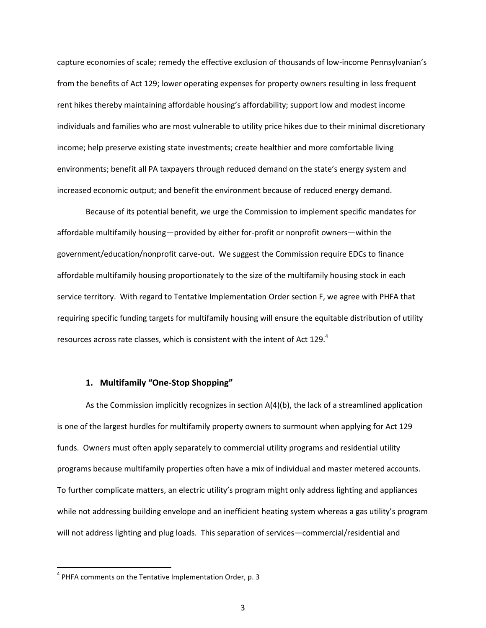capture economies of scale; remedy the effective exclusion of thousands of low-income Pennsylvanian's from the benefits of Act 129; lower operating expenses for property owners resulting in less frequent rent hikes thereby maintaining affordable housing's affordability; support low and modest income individuals and families who are most vulnerable to utility price hikes due to their minimal discretionary income; help preserve existing state investments; create healthier and more comfortable living environments; benefit all PA taxpayers through reduced demand on the state's energy system and increased economic output; and benefit the environment because of reduced energy demand.

Because of its potential benefit, we urge the Commission to implement specific mandates for affordable multifamily housing—provided by either for-profit or nonprofit owners—within the government/education/nonprofit carve-out. We suggest the Commission require EDCs to finance affordable multifamily housing proportionately to the size of the multifamily housing stock in each service territory. With regard to Tentative Implementation Order section F, we agree with PHFA that requiring specific funding targets for multifamily housing will ensure the equitable distribution of utility resources across rate classes, which is consistent with the intent of Act 129. $4$ 

## **1. Multifamily "One-Stop Shopping"**

As the Commission implicitly recognizes in section A(4)(b), the lack of a streamlined application is one of the largest hurdles for multifamily property owners to surmount when applying for Act 129 funds. Owners must often apply separately to commercial utility programs and residential utility programs because multifamily properties often have a mix of individual and master metered accounts. To further complicate matters, an electric utility's program might only address lighting and appliances while not addressing building envelope and an inefficient heating system whereas a gas utility's program will not address lighting and plug loads. This separation of services—commercial/residential and

<sup>&</sup>lt;sup>4</sup> PHFA comments on the Tentative Implementation Order, p. 3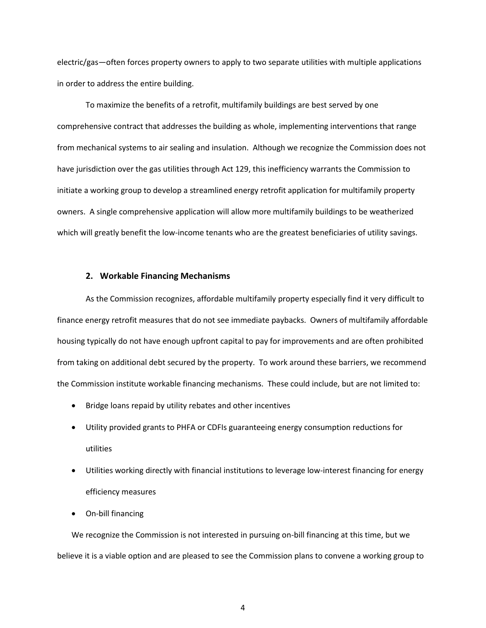electric/gas—often forces property owners to apply to two separate utilities with multiple applications in order to address the entire building.

To maximize the benefits of a retrofit, multifamily buildings are best served by one comprehensive contract that addresses the building as whole, implementing interventions that range from mechanical systems to air sealing and insulation. Although we recognize the Commission does not have jurisdiction over the gas utilities through Act 129, this inefficiency warrants the Commission to initiate a working group to develop a streamlined energy retrofit application for multifamily property owners. A single comprehensive application will allow more multifamily buildings to be weatherized which will greatly benefit the low-income tenants who are the greatest beneficiaries of utility savings.

#### **2. Workable Financing Mechanisms**

As the Commission recognizes, affordable multifamily property especially find it very difficult to finance energy retrofit measures that do not see immediate paybacks. Owners of multifamily affordable housing typically do not have enough upfront capital to pay for improvements and are often prohibited from taking on additional debt secured by the property. To work around these barriers, we recommend the Commission institute workable financing mechanisms. These could include, but are not limited to:

- Bridge loans repaid by utility rebates and other incentives
- Utility provided grants to PHFA or CDFIs guaranteeing energy consumption reductions for utilities
- Utilities working directly with financial institutions to leverage low-interest financing for energy efficiency measures
- On-bill financing

We recognize the Commission is not interested in pursuing on-bill financing at this time, but we believe it is a viable option and are pleased to see the Commission plans to convene a working group to

4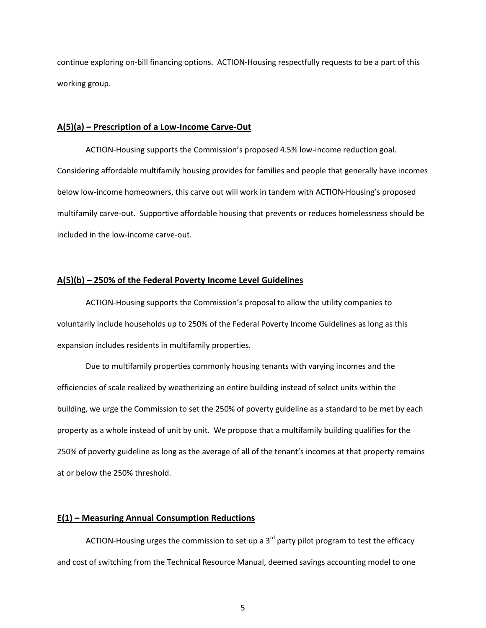continue exploring on-bill financing options. ACTION-Housing respectfully requests to be a part of this working group.

#### **A(5)(a) – Prescription of a Low-Income Carve-Out**

ACTION-Housing supports the Commission's proposed 4.5% low-income reduction goal. Considering affordable multifamily housing provides for families and people that generally have incomes below low-income homeowners, this carve out will work in tandem with ACTION-Housing's proposed multifamily carve-out. Supportive affordable housing that prevents or reduces homelessness should be included in the low-income carve-out.

#### **A(5)(b) – 250% of the Federal Poverty Income Level Guidelines**

ACTION-Housing supports the Commission's proposal to allow the utility companies to voluntarily include households up to 250% of the Federal Poverty Income Guidelines as long as this expansion includes residents in multifamily properties.

Due to multifamily properties commonly housing tenants with varying incomes and the efficiencies of scale realized by weatherizing an entire building instead of select units within the building, we urge the Commission to set the 250% of poverty guideline as a standard to be met by each property as a whole instead of unit by unit. We propose that a multifamily building qualifies for the 250% of poverty guideline as long as the average of all of the tenant's incomes at that property remains at or below the 250% threshold.

#### **E(1) – Measuring Annual Consumption Reductions**

ACTION-Housing urges the commission to set up a 3<sup>rd</sup> party pilot program to test the efficacy and cost of switching from the Technical Resource Manual, deemed savings accounting model to one

5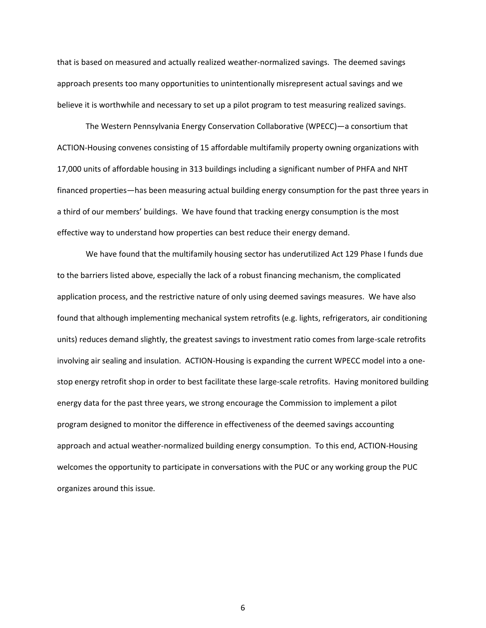that is based on measured and actually realized weather-normalized savings. The deemed savings approach presents too many opportunities to unintentionally misrepresent actual savings and we believe it is worthwhile and necessary to set up a pilot program to test measuring realized savings.

The Western Pennsylvania Energy Conservation Collaborative (WPECC)—a consortium that ACTION-Housing convenes consisting of 15 affordable multifamily property owning organizations with 17,000 units of affordable housing in 313 buildings including a significant number of PHFA and NHT financed properties—has been measuring actual building energy consumption for the past three years in a third of our members' buildings. We have found that tracking energy consumption is the most effective way to understand how properties can best reduce their energy demand.

We have found that the multifamily housing sector has underutilized Act 129 Phase I funds due to the barriers listed above, especially the lack of a robust financing mechanism, the complicated application process, and the restrictive nature of only using deemed savings measures. We have also found that although implementing mechanical system retrofits (e.g. lights, refrigerators, air conditioning units) reduces demand slightly, the greatest savings to investment ratio comes from large-scale retrofits involving air sealing and insulation. ACTION-Housing is expanding the current WPECC model into a onestop energy retrofit shop in order to best facilitate these large-scale retrofits. Having monitored building energy data for the past three years, we strong encourage the Commission to implement a pilot program designed to monitor the difference in effectiveness of the deemed savings accounting approach and actual weather-normalized building energy consumption. To this end, ACTION-Housing welcomes the opportunity to participate in conversations with the PUC or any working group the PUC organizes around this issue.

6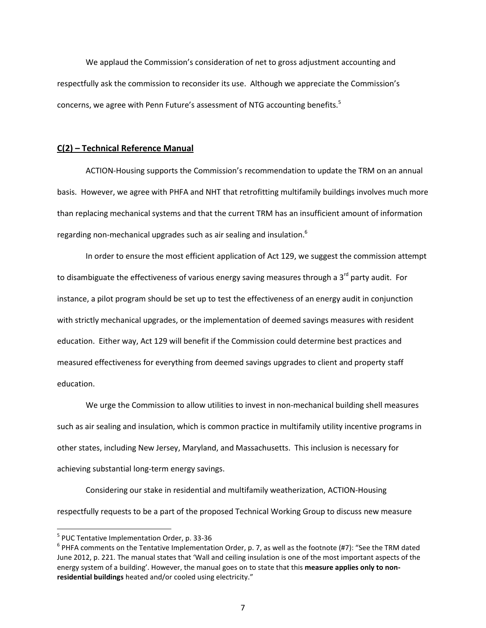We applaud the Commission's consideration of net to gross adjustment accounting and respectfully ask the commission to reconsider its use. Although we appreciate the Commission's concerns, we agree with Penn Future's assessment of NTG accounting benefits.<sup>5</sup>

## **C(2) – Technical Reference Manual**

ACTION-Housing supports the Commission's recommendation to update the TRM on an annual basis. However, we agree with PHFA and NHT that retrofitting multifamily buildings involves much more than replacing mechanical systems and that the current TRM has an insufficient amount of information regarding non-mechanical upgrades such as air sealing and insulation.<sup>6</sup>

In order to ensure the most efficient application of Act 129, we suggest the commission attempt to disambiguate the effectiveness of various energy saving measures through a 3<sup>rd</sup> party audit. For instance, a pilot program should be set up to test the effectiveness of an energy audit in conjunction with strictly mechanical upgrades, or the implementation of deemed savings measures with resident education. Either way, Act 129 will benefit if the Commission could determine best practices and measured effectiveness for everything from deemed savings upgrades to client and property staff education.

We urge the Commission to allow utilities to invest in non-mechanical building shell measures such as air sealing and insulation, which is common practice in multifamily utility incentive programs in other states, including New Jersey, Maryland, and Massachusetts. This inclusion is necessary for achieving substantial long-term energy savings.

Considering our stake in residential and multifamily weatherization, ACTION-Housing respectfully requests to be a part of the proposed Technical Working Group to discuss new measure

<sup>5</sup> PUC Tentative Implementation Order, p. 33-36

 $^6$  PHFA comments on the Tentative Implementation Order, p. 7, as well as the footnote (#7): "See the TRM dated June 2012, p. 221. The manual states that 'Wall and ceiling insulation is one of the most important aspects of the energy system of a building'. However, the manual goes on to state that this **measure applies only to nonresidential buildings** heated and/or cooled using electricity."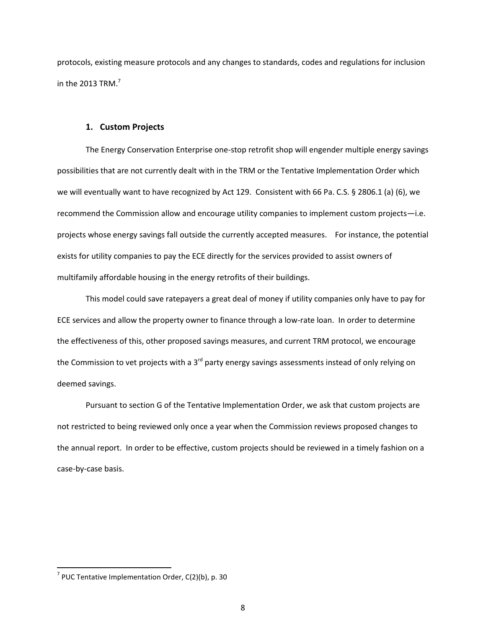protocols, existing measure protocols and any changes to standards, codes and regulations for inclusion in the 2013 TRM. $^7$ 

#### **1. Custom Projects**

The Energy Conservation Enterprise one-stop retrofit shop will engender multiple energy savings possibilities that are not currently dealt with in the TRM or the Tentative Implementation Order which we will eventually want to have recognized by Act 129. Consistent with 66 Pa. C.S. § 2806.1 (a) (6), we recommend the Commission allow and encourage utility companies to implement custom projects—i.e. projects whose energy savings fall outside the currently accepted measures. For instance, the potential exists for utility companies to pay the ECE directly for the services provided to assist owners of multifamily affordable housing in the energy retrofits of their buildings.

This model could save ratepayers a great deal of money if utility companies only have to pay for ECE services and allow the property owner to finance through a low-rate loan. In order to determine the effectiveness of this, other proposed savings measures, and current TRM protocol, we encourage the Commission to vet projects with a 3<sup>rd</sup> party energy savings assessments instead of only relying on deemed savings.

Pursuant to section G of the Tentative Implementation Order, we ask that custom projects are not restricted to being reviewed only once a year when the Commission reviews proposed changes to the annual report. In order to be effective, custom projects should be reviewed in a timely fashion on a case-by-case basis.

 $^7$  PUC Tentative Implementation Order, C(2)(b), p. 30